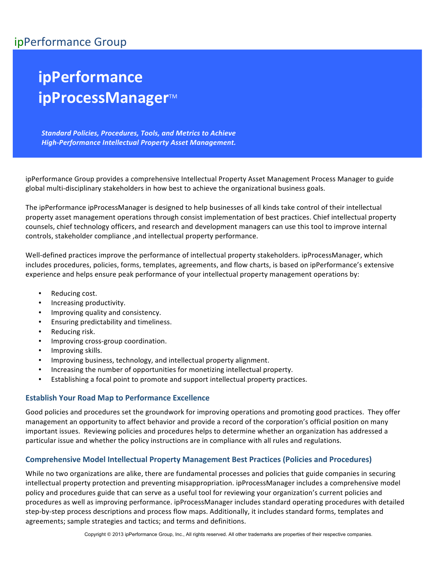# ipPerformance Group

# **ipPerformance ipProcessManager**™

**Standard Policies, Procedures, Tools, and Metrics to Achieve High-Performance Intellectual Property Asset Management.** 

ipPerformance Group provides a comprehensive Intellectual Property Asset Management Process Manager to guide global multi-disciplinary stakeholders in how best to achieve the organizational business goals.

The ipPerformance ipProcessManager is designed to help businesses of all kinds take control of their intellectual property asset management operations through consist implementation of best practices. Chief intellectual property counsels, chief technology officers, and research and development managers can use this tool to improve internal controls, stakeholder compliance , and intellectual property performance.

Well-defined practices improve the performance of intellectual property stakeholders. ipProcessManager, which includes procedures, policies, forms, templates, agreements, and flow charts, is based on ipPerformance's extensive experience and helps ensure peak performance of your intellectual property management operations by:

- Reducing cost.
- Increasing productivity.
- Improving quality and consistency.
- Ensuring predictability and timeliness.
- Reducing risk.
- Improving cross-group coordination.
- Improving skills.
- Improving business, technology, and intellectual property alignment.
- Increasing the number of opportunities for monetizing intellectual property.
- Establishing a focal point to promote and support intellectual property practices.

#### **Establish Your Road Map to Performance Excellence**

Good policies and procedures set the groundwork for improving operations and promoting good practices. They offer management an opportunity to affect behavior and provide a record of the corporation's official position on many important issues. Reviewing policies and procedures helps to determine whether an organization has addressed a particular issue and whether the policy instructions are in compliance with all rules and regulations.

#### **Comprehensive Model Intellectual Property Management Best Practices (Policies and Procedures)**

While no two organizations are alike, there are fundamental processes and policies that guide companies in securing intellectual property protection and preventing misappropriation. ipProcessManager includes a comprehensive model policy and procedures guide that can serve as a useful tool for reviewing your organization's current policies and procedures as well as improving performance. ipProcessManager includes standard operating procedures with detailed step-by-step process descriptions and process flow maps. Additionally, it includes standard forms, templates and agreements; sample strategies and tactics; and terms and definitions.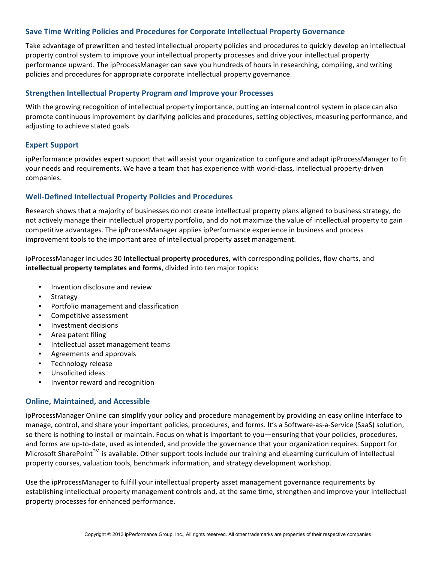### **Save Time Writing Policies and Procedures for Corporate Intellectual Property Governance**

Take advantage of prewritten and tested intellectual property policies and procedures to quickly develop an intellectual property control system to improve your intellectual property processes and drive your intellectual property performance upward. The ipProcessManager can save you hundreds of hours in researching, compiling, and writing policies and procedures for appropriate corporate intellectual property governance.

#### **Strengthen Intellectual Property Program and Improve your Processes**

With the growing recognition of intellectual property importance, putting an internal control system in place can also promote continuous improvement by clarifying policies and procedures, setting objectives, measuring performance, and adjusting to achieve stated goals.

#### **Expert Support**

ipPerformance provides expert support that will assist your organization to configure and adapt ipProcessManager to fit your needs and requirements. We have a team that has experience with world-class, intellectual property-driven companies. 

#### **Well-Defined Intellectual Property Policies and Procedures**

Research shows that a majority of businesses do not create intellectual property plans aligned to business strategy, do not actively manage their intellectual property portfolio, and do not maximize the value of intellectual property to gain competitive advantages. The ipProcessManager applies ipPerformance experience in business and process improvement tools to the important area of intellectual property asset management.

ipProcessManager includes 30 **intellectual property procedures**, with corresponding policies, flow charts, and **intellectual property templates and forms**, divided into ten major topics:

- Invention disclosure and review
- **Strategy**
- Portfolio management and classification
- Competitive assessment
- Investment decisions
- Area patent filing
- Intellectual asset management teams
- Agreements and approvals
- Technology release
- Unsolicited ideas
- Inventor reward and recognition

#### **Online, Maintained, and Accessible**

ipProcessManager Online can simplify your policy and procedure management by providing an easy online interface to manage, control, and share your important policies, procedures, and forms. It's a Software-as-a-Service (SaaS) solution, so there is nothing to install or maintain. Focus on what is important to you—ensuring that your policies, procedures, and forms are up-to-date, used as intended, and provide the governance that your organization requires. Support for Microsoft SharePoint<sup>™</sup> is available. Other support tools include our training and eLearning curriculum of intellectual property courses, valuation tools, benchmark information, and strategy development workshop.

Use the ipProcessManager to fulfill your intellectual property asset management governance requirements by establishing intellectual property management controls and, at the same time, strengthen and improve your intellectual property processes for enhanced performance.